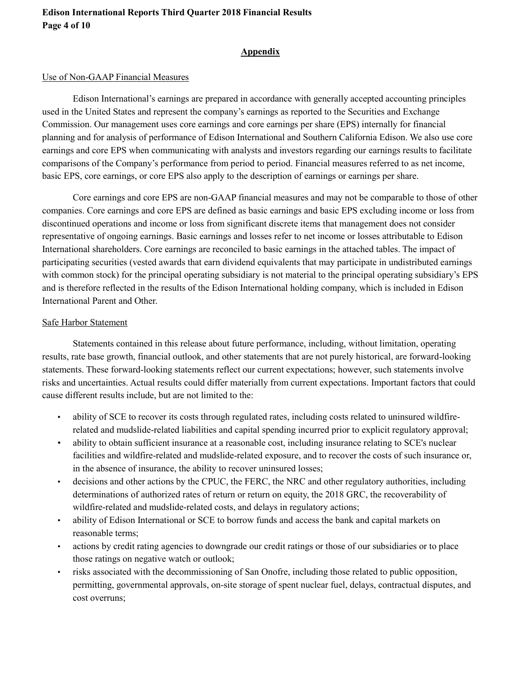### **Edison International Reports Third Quarter 2018 Financial Results Page 4 of 10**

#### **Appendix**

#### Use of Non-GAAP Financial Measures

Edison International's earnings are prepared in accordance with generally accepted accounting principles used in the United States and represent the company's earnings as reported to the Securities and Exchange Commission. Our management uses core earnings and core earnings per share (EPS) internally for financial planning and for analysis of performance of Edison International and Southern California Edison. We also use core earnings and core EPS when communicating with analysts and investors regarding our earnings results to facilitate comparisons of the Company's performance from period to period. Financial measures referred to as net income, basic EPS, core earnings, or core EPS also apply to the description of earnings or earnings per share.

Core earnings and core EPS are non-GAAP financial measures and may not be comparable to those of other companies. Core earnings and core EPS are defined as basic earnings and basic EPS excluding income or loss from discontinued operations and income or loss from significant discrete items that management does not consider representative of ongoing earnings. Basic earnings and losses refer to net income or losses attributable to Edison International shareholders. Core earnings are reconciled to basic earnings in the attached tables. The impact of participating securities (vested awards that earn dividend equivalents that may participate in undistributed earnings with common stock) for the principal operating subsidiary is not material to the principal operating subsidiary's EPS and is therefore reflected in the results of the Edison International holding company, which is included in Edison International Parent and Other.

#### Safe Harbor Statement

Statements contained in this release about future performance, including, without limitation, operating results, rate base growth, financial outlook, and other statements that are not purely historical, are forward-looking statements. These forward-looking statements reflect our current expectations; however, such statements involve risks and uncertainties. Actual results could differ materially from current expectations. Important factors that could cause different results include, but are not limited to the:

- ability of SCE to recover its costs through regulated rates, including costs related to uninsured wildfirerelated and mudslide-related liabilities and capital spending incurred prior to explicit regulatory approval;
- ability to obtain sufficient insurance at a reasonable cost, including insurance relating to SCE's nuclear facilities and wildfire-related and mudslide-related exposure, and to recover the costs of such insurance or, in the absence of insurance, the ability to recover uninsured losses;
- decisions and other actions by the CPUC, the FERC, the NRC and other regulatory authorities, including determinations of authorized rates of return or return on equity, the 2018 GRC, the recoverability of wildfire-related and mudslide-related costs, and delays in regulatory actions;
- ability of Edison International or SCE to borrow funds and access the bank and capital markets on reasonable terms;
- actions by credit rating agencies to downgrade our credit ratings or those of our subsidiaries or to place those ratings on negative watch or outlook;
- risks associated with the decommissioning of San Onofre, including those related to public opposition, permitting, governmental approvals, on-site storage of spent nuclear fuel, delays, contractual disputes, and cost overruns;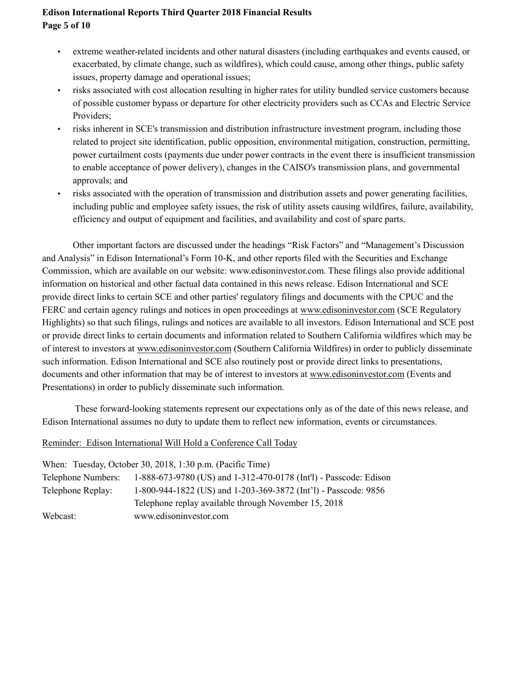# **Edison International Reports Third Quarter 2018 Financial Results Page 5 of 10**

- extreme weather-related incidents and other natural disasters (including earthquakes and events caused, or exacerbated, by climate change, such as wildfires), which could cause, among other things, public safety issues, property damage and operational issues;
- risks associated with cost allocation resulting in higher rates for utility bundled service customers because of possible customer bypass or departure for other electricity providers such as CCAs and Electric Service Providers;
- risks inherent in SCE's transmission and distribution infrastructure investment program, including those related to project site identification, public opposition, environmental mitigation, construction, permitting, power curtailment costs (payments due under power contracts in the event there is insufficient transmission to enable acceptance of power delivery), changes in the CAISO's transmission plans, and governmental approvals; and
- risks associated with the operation of transmission and distribution assets and power generating facilities, including public and employee safety issues, the risk of utility assets causing wildfires, failure, availability, efficiency and output of equipment and facilities, and availability and cost of spare parts.

Other important factors are discussed under the headings "Risk Factors" and "Management's Discussion and Analysis" in Edison International's Form 10-K, and other reports filed with the Securities and Exchange Commission, which are available on our website: www.edisoninvestor.com. These filings also provide additional information on historical and other factual data contained in this news release. Edison International and SCE provide direct links to certain SCE and other parties' regulatory filings and documents with the CPUC and the FERC and certain agency rulings and notices in open proceedings at www.edisoninvestor.com (SCE Regulatory Highlights) so that such filings, rulings and notices are available to all investors. Edison International and SCE post or provide direct links to certain documents and information related to Southern California wildfires which may be of interest to investors at www.edisoninvestor.com (Southern California Wildfires) in order to publicly disseminate such information. Edison International and SCE also routinely post or provide direct links to presentations, documents and other information that may be of interest to investors at www.edisoninvestor.com (Events and Presentations) in order to publicly disseminate such information.

These forward-looking statements represent our expectations only as of the date of this news release, and Edison International assumes no duty to update them to reflect new information, events or circumstances.

#### Reminder: Edison International Will Hold a Conference Call Today

|                    | When: Tuesday, October 30, 2018, 1:30 p.m. (Pacific Time)         |
|--------------------|-------------------------------------------------------------------|
| Telephone Numbers: | 1-888-673-9780 (US) and 1-312-470-0178 (Int'l) - Passcode: Edison |
| Telephone Replay:  | 1-800-944-1822 (US) and 1-203-369-3872 (Int'l) - Passcode: 9856   |
|                    | Telephone replay available through November 15, 2018              |
| Webcast:           | www.edisoninvestor.com                                            |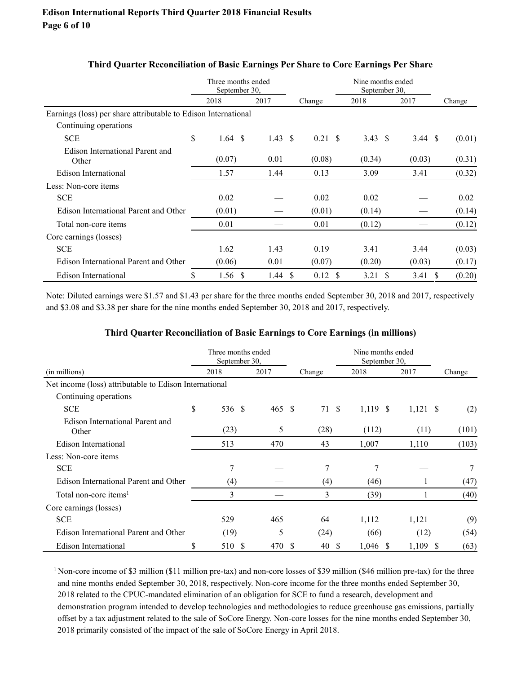|                                                                | Three months ended<br>September 30, |              |     |                    | Nine months ended<br>September 30, |     |                 |        |  |
|----------------------------------------------------------------|-------------------------------------|--------------|-----|--------------------|------------------------------------|-----|-----------------|--------|--|
|                                                                | 2018                                | 2017         |     | Change             | 2018                               |     | 2017            | Change |  |
| Earnings (loss) per share attributable to Edison International |                                     |              |     |                    |                                    |     |                 |        |  |
| Continuing operations                                          |                                     |              |     |                    |                                    |     |                 |        |  |
| <b>SCE</b>                                                     | \$<br>$1.64 \text{ }$ \$            | 1.43 $\sqrt$ |     | $0.21 \text{ }$ \$ | 3.43 $\sqrt{5}$                    |     | 3.44 $\sqrt{s}$ | (0.01) |  |
| Edison International Parent and<br>Other                       | (0.07)                              | 0.01         |     | (0.08)             | (0.34)                             |     | (0.03)          | (0.31) |  |
| Edison International                                           | 1.57                                | 1.44         |     | 0.13               | 3.09                               |     | 3.41            | (0.32) |  |
| Less: Non-core items                                           |                                     |              |     |                    |                                    |     |                 |        |  |
| <b>SCE</b>                                                     | 0.02                                |              |     | 0.02               | 0.02                               |     |                 | 0.02   |  |
| Edison International Parent and Other                          | (0.01)                              |              |     | (0.01)             | (0.14)                             |     |                 | (0.14) |  |
| Total non-core items                                           | 0.01                                |              |     | 0.01               | (0.12)                             |     |                 | (0.12) |  |
| Core earnings (losses)                                         |                                     |              |     |                    |                                    |     |                 |        |  |
| <b>SCE</b>                                                     | 1.62                                | 1.43         |     | 0.19               | 3.41                               |     | 3.44            | (0.03) |  |
| Edison International Parent and Other                          | (0.06)                              | 0.01         |     | (0.07)             | (0.20)                             |     | (0.03)          | (0.17) |  |
| Edison International                                           | \$<br>1.56 <sup>°</sup>             | 1.44         | -\$ | $0.12 \text{ }$ \$ | 3.21                               | \$. | 3.41            | (0.20) |  |

#### **Third Quarter Reconciliation of Basic Earnings Per Share to Core Earnings Per Share**

Note: Diluted earnings were \$1.57 and \$1.43 per share for the three months ended September 30, 2018 and 2017, respectively and \$3.08 and \$3.38 per share for the nine months ended September 30, 2018 and 2017, respectively.

#### **Third Quarter Reconciliation of Basic Earnings to Core Earnings (in millions)**

|                                                        | Three months ended<br>September 30, |                |                   |     |          | Nine months ended<br>September 30, |              |        |  |
|--------------------------------------------------------|-------------------------------------|----------------|-------------------|-----|----------|------------------------------------|--------------|--------|--|
| (in millions)                                          |                                     | 2018           | 2017              |     | Change   | 2018                               | 2017         | Change |  |
| Net income (loss) attributable to Edison International |                                     |                |                   |     |          |                                    |              |        |  |
| Continuing operations                                  |                                     |                |                   |     |          |                                    |              |        |  |
| <b>SCE</b>                                             | \$                                  | 536 \$         | $465 \text{ }$ \$ |     | 71 \$    | $1,119$ \$                         | $1,121$ \$   | (2)    |  |
| Edison International Parent and<br>Other               |                                     | (23)           | 5                 |     | (28)     | (112)                              | (11)         | (101)  |  |
| Edison International                                   |                                     | 513            | 470               |     | 43       | 1,007                              | 1,110        | (103)  |  |
| Less: Non-core items                                   |                                     |                |                   |     |          |                                    |              |        |  |
| <b>SCE</b>                                             |                                     | $\overline{7}$ |                   |     | 7        | 7                                  |              | 7      |  |
| Edison International Parent and Other                  |                                     | (4)            |                   |     | (4)      | (46)                               |              | (47)   |  |
| Total non-core items <sup>1</sup>                      |                                     | 3              |                   |     | 3        | (39)                               |              | (40)   |  |
| Core earnings (losses)                                 |                                     |                |                   |     |          |                                    |              |        |  |
| <b>SCE</b>                                             |                                     | 529            | 465               |     | 64       | 1,112                              | 1,121        | (9)    |  |
| Edison International Parent and Other                  |                                     | (19)           | 5                 |     | (24)     | (66)                               | (12)         | (54)   |  |
| Edison International                                   | \$                                  | 510<br>-\$     | 470               | \$. | 40<br>-S | 1,046<br>-S                        | 1,109<br>-\$ | (63)   |  |

<sup>1</sup> Non-core income of \$3 million (\$11 million pre-tax) and non-core losses of \$39 million (\$46 million pre-tax) for the three and nine months ended September 30, 2018, respectively. Non-core income for the three months ended September 30, 2018 related to the CPUC-mandated elimination of an obligation for SCE to fund a research, development and demonstration program intended to develop technologies and methodologies to reduce greenhouse gas emissions, partially offset by a tax adjustment related to the sale of SoCore Energy. Non-core losses for the nine months ended September 30, 2018 primarily consisted of the impact of the sale of SoCore Energy in April 2018.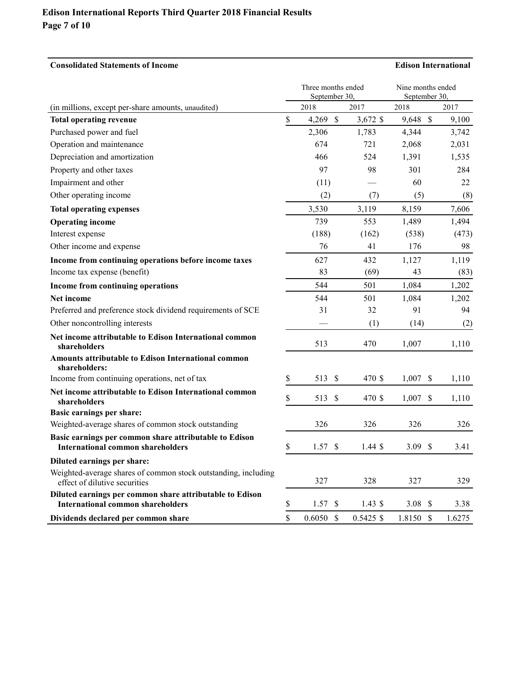# **Edison International Reports Third Quarter 2018 Financial Results Page 7 of 10**

# **Consolidated Statements of Income Edison International** Three months ended September 30, Nine months ended September 30, (in millions, except per-share amounts, unaudited) 2018 2017 2018 2017 **Total operating revenue**  $\qquad \qquad$  \$ 4,269 \$ 3,672 \$ 9,648 \$ 9,100

| Purchased power and fuel                                                                             | 2,306             |               | 1,783              | 4,344  |               | 3,742  |
|------------------------------------------------------------------------------------------------------|-------------------|---------------|--------------------|--------|---------------|--------|
| Operation and maintenance                                                                            | 674               |               | 721                | 2,068  |               | 2,031  |
| Depreciation and amortization                                                                        | 466               |               | 524                | 1,391  |               | 1,535  |
| Property and other taxes                                                                             | 97                |               | 98                 | 301    |               | 284    |
| Impairment and other                                                                                 | (11)              |               |                    | 60     |               | 22     |
| Other operating income                                                                               | (2)               |               | (7)                | (5)    |               | (8)    |
| <b>Total operating expenses</b>                                                                      | 3,530             |               | 3,119              | 8,159  |               | 7,606  |
| <b>Operating income</b>                                                                              | 739               |               | 553                | 1,489  |               | 1,494  |
| Interest expense                                                                                     | (188)             |               | (162)              | (538)  |               | (473)  |
| Other income and expense                                                                             | 76                |               | 41                 | 176    |               | 98     |
| Income from continuing operations before income taxes                                                | 627               |               | 432                | 1,127  |               | 1,119  |
| Income tax expense (benefit)                                                                         | 83                |               | (69)               | 43     |               | (83)   |
| Income from continuing operations                                                                    | 544               |               | 501                | 1,084  |               | 1,202  |
| Net income                                                                                           | 544               |               | 501                | 1,084  |               | 1,202  |
| Preferred and preference stock dividend requirements of SCE                                          | 31                |               | 32                 | 91     |               | 94     |
| Other noncontrolling interests                                                                       |                   |               | (1)                | (14)   |               | (2)    |
| Net income attributable to Edison International common<br>shareholders                               | 513               |               | 470                | 1,007  |               | 1,110  |
| Amounts attributable to Edison International common<br>shareholders:                                 |                   |               |                    |        |               |        |
| Income from continuing operations, net of tax                                                        | \$<br>513         | $\mathcal{S}$ | 470 \$             | 1,007  | $\mathbb{S}$  | 1,110  |
| Net income attributable to Edison International common<br>shareholders                               | \$<br>513         | $\mathcal{S}$ | 470 \$             | 1,007  | $\mathbb{S}$  | 1,110  |
| Basic earnings per share:                                                                            |                   |               |                    |        |               |        |
| Weighted-average shares of common stock outstanding                                                  | 326               |               | 326                | 326    |               | 326    |
| Basic earnings per common share attributable to Edison<br><b>International common shareholders</b>   | \$<br>1.57        | $\mathcal{S}$ | $1.44 \text{ }$ \$ | 3.09   | $\mathcal{S}$ | 3.41   |
| Diluted earnings per share:                                                                          |                   |               |                    |        |               |        |
| Weighted-average shares of common stock outstanding, including<br>effect of dilutive securities      | 327               |               | 328                | 327    |               | 329    |
| Diluted earnings per common share attributable to Edison<br><b>International common shareholders</b> | \$<br>1.57        | $\mathcal{S}$ | $1.43 \text{ }$ \$ | 3.08   | $\mathbb{S}$  | 3.38   |
| Dividends declared per common share                                                                  | \$<br>$0.6050$ \$ |               | $0.5425$ \$        | 1.8150 | $\mathcal{S}$ | 1.6275 |
|                                                                                                      |                   |               |                    |        |               |        |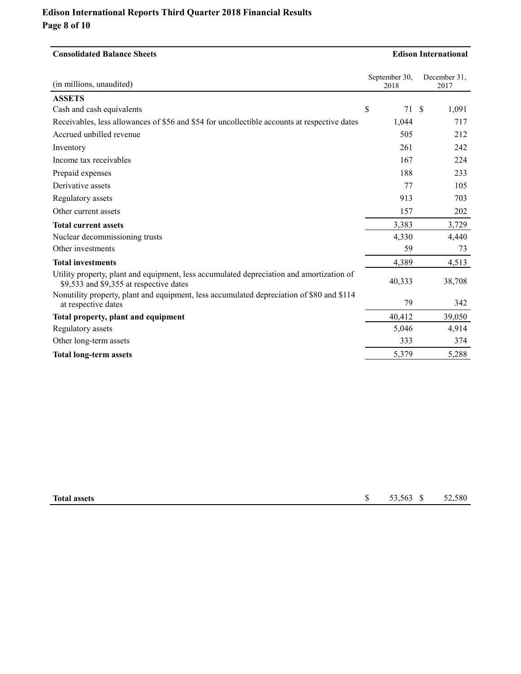# **Edison International Reports Third Quarter 2018 Financial Results Page 8 of 10**

| <b>Consolidated Balance Sheets</b>                                                                                                  | <b>Edison International</b> |                      |  |
|-------------------------------------------------------------------------------------------------------------------------------------|-----------------------------|----------------------|--|
| (in millions, unaudited)                                                                                                            | September 30,<br>2018       | December 31.<br>2017 |  |
| <b>ASSETS</b>                                                                                                                       |                             |                      |  |
| Cash and cash equivalents                                                                                                           | \$<br>71                    | - \$<br>1,091        |  |
| Receivables, less allowances of \$56 and \$54 for uncollectible accounts at respective dates                                        | 1,044                       | 717                  |  |
| Accrued unbilled revenue                                                                                                            | 505                         | 212                  |  |
| Inventory                                                                                                                           | 261                         | 242                  |  |
| Income tax receivables                                                                                                              | 167                         | 224                  |  |
| Prepaid expenses                                                                                                                    | 188                         | 233                  |  |
| Derivative assets                                                                                                                   | 77                          | 105                  |  |
| Regulatory assets                                                                                                                   | 913                         | 703                  |  |
| Other current assets                                                                                                                | 157                         | 202                  |  |
| <b>Total current assets</b>                                                                                                         | 3,383                       | 3,729                |  |
| Nuclear decommissioning trusts                                                                                                      | 4,330                       | 4,440                |  |
| Other investments                                                                                                                   | 59                          | 73                   |  |
| <b>Total investments</b>                                                                                                            | 4,389                       | 4,513                |  |
| Utility property, plant and equipment, less accumulated depreciation and amortization of<br>\$9,533 and \$9,355 at respective dates | 40,333                      | 38,708               |  |
| Nonutility property, plant and equipment, less accumulated depreciation of \$80 and \$114<br>at respective dates                    | 79                          | 342                  |  |
| Total property, plant and equipment                                                                                                 | 40,412                      | 39,050               |  |
| Regulatory assets                                                                                                                   | 5,046                       | 4,914                |  |
| Other long-term assets                                                                                                              | 333                         | 374                  |  |
| <b>Total long-term assets</b>                                                                                                       | 5,379                       | 5,288                |  |

| <b>Total assets</b> | ω | $\sim$ $\sim$ $\sim$<br>53.563 | 52.580 |
|---------------------|---|--------------------------------|--------|
|---------------------|---|--------------------------------|--------|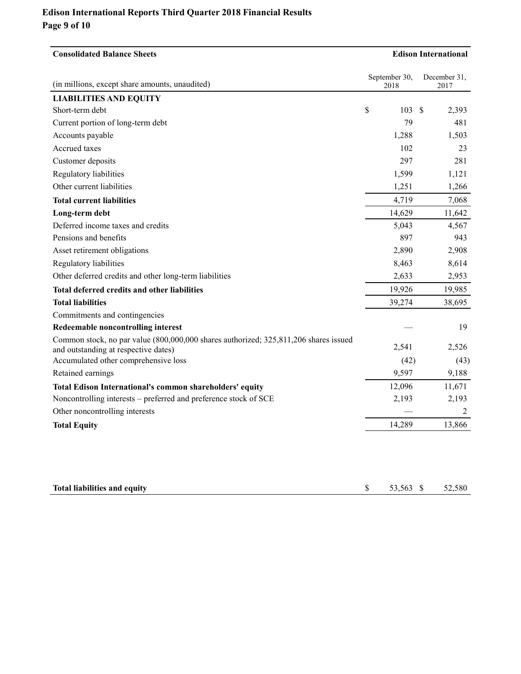# **Edison International Reports Third Quarter 2018 Financial Results Page 9 of 10**

| <b>Consolidated Balance Sheets</b>                                                                                           |                       | <b>Edison International</b> |
|------------------------------------------------------------------------------------------------------------------------------|-----------------------|-----------------------------|
| (in millions, except share amounts, unaudited)                                                                               | September 30,<br>2018 | December 31,<br>2017        |
| <b>LIABILITIES AND EQUITY</b>                                                                                                |                       |                             |
| Short-term debt                                                                                                              | \$<br>103S            | 2,393                       |
| Current portion of long-term debt                                                                                            | 79                    | 481                         |
| Accounts payable                                                                                                             | 1,288                 | 1,503                       |
| Accrued taxes                                                                                                                | 102                   | 23                          |
| Customer deposits                                                                                                            | 297                   | 281                         |
| Regulatory liabilities                                                                                                       | 1,599                 | 1,121                       |
| Other current liabilities                                                                                                    | 1,251                 | 1,266                       |
| <b>Total current liabilities</b>                                                                                             | 4,719                 | 7,068                       |
| Long-term debt                                                                                                               | 14,629                | 11,642                      |
| Deferred income taxes and credits                                                                                            | 5,043                 | 4,567                       |
| Pensions and benefits                                                                                                        | 897                   | 943                         |
| Asset retirement obligations                                                                                                 | 2,890                 | 2,908                       |
| Regulatory liabilities                                                                                                       | 8,463                 | 8,614                       |
| Other deferred credits and other long-term liabilities                                                                       | 2,633                 | 2,953                       |
| Total deferred credits and other liabilities                                                                                 | 19,926                | 19,985                      |
| <b>Total liabilities</b>                                                                                                     | 39,274                | 38,695                      |
| Commitments and contingencies                                                                                                |                       |                             |
| Redeemable noncontrolling interest                                                                                           |                       | 19                          |
| Common stock, no par value (800,000,000 shares authorized; 325,811,206 shares issued<br>and outstanding at respective dates) | 2,541                 | 2,526                       |
| Accumulated other comprehensive loss                                                                                         | (42)                  | (43)                        |
| Retained earnings                                                                                                            | 9,597                 | 9,188                       |
| Total Edison International's common shareholders' equity                                                                     | 12,096                | 11,671                      |
| Noncontrolling interests – preferred and preference stock of SCE                                                             | 2,193                 | 2,193                       |
| Other noncontrolling interests                                                                                               |                       | $\overline{2}$              |
| <b>Total Equity</b>                                                                                                          | 14,289                | 13,866                      |
|                                                                                                                              |                       |                             |

| Total liabilities and equity |  | 53,563 \$ 52,580 |  |
|------------------------------|--|------------------|--|
|------------------------------|--|------------------|--|